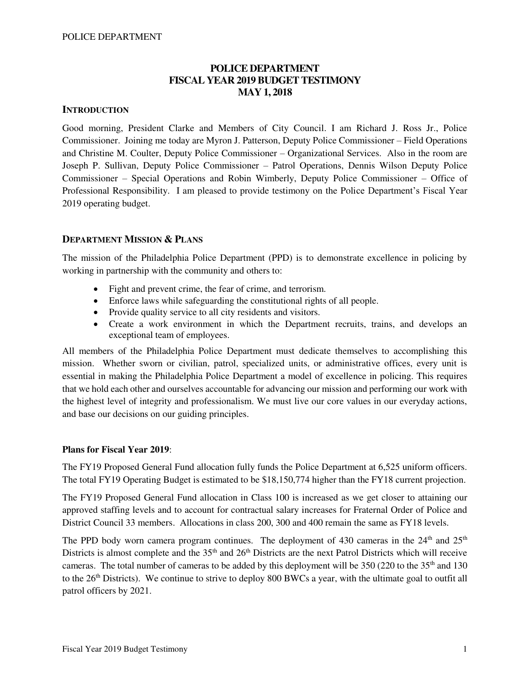# **POLICE DEPARTMENT FISCAL YEAR 2019 BUDGET TESTIMONY MAY 1, 2018**

## **INTRODUCTION**

Good morning, President Clarke and Members of City Council. I am Richard J. Ross Jr., Police Commissioner. Joining me today are Myron J. Patterson, Deputy Police Commissioner – Field Operations and Christine M. Coulter, Deputy Police Commissioner – Organizational Services. Also in the room are Joseph P. Sullivan, Deputy Police Commissioner – Patrol Operations, Dennis Wilson Deputy Police Commissioner – Special Operations and Robin Wimberly, Deputy Police Commissioner – Office of Professional Responsibility. I am pleased to provide testimony on the Police Department's Fiscal Year 2019 operating budget.

## **DEPARTMENT MISSION & PLANS**

The mission of the Philadelphia Police Department (PPD) is to demonstrate excellence in policing by working in partnership with the community and others to:

- Fight and prevent crime, the fear of crime, and terrorism.
- Enforce laws while safeguarding the constitutional rights of all people.
- Provide quality service to all city residents and visitors.
- Create a work environment in which the Department recruits, trains, and develops an exceptional team of employees.

All members of the Philadelphia Police Department must dedicate themselves to accomplishing this mission. Whether sworn or civilian, patrol, specialized units, or administrative offices, every unit is essential in making the Philadelphia Police Department a model of excellence in policing. This requires that we hold each other and ourselves accountable for advancing our mission and performing our work with the highest level of integrity and professionalism. We must live our core values in our everyday actions, and base our decisions on our guiding principles.

### **Plans for Fiscal Year 2019**:

The FY19 Proposed General Fund allocation fully funds the Police Department at 6,525 uniform officers. The total FY19 Operating Budget is estimated to be \$18,150,774 higher than the FY18 current projection.

The FY19 Proposed General Fund allocation in Class 100 is increased as we get closer to attaining our approved staffing levels and to account for contractual salary increases for Fraternal Order of Police and District Council 33 members. Allocations in class 200, 300 and 400 remain the same as FY18 levels.

The PPD body worn camera program continues. The deployment of 430 cameras in the  $24<sup>th</sup>$  and  $25<sup>th</sup>$ Districts is almost complete and the 35<sup>th</sup> and 26<sup>th</sup> Districts are the next Patrol Districts which will receive cameras. The total number of cameras to be added by this deployment will be  $350$  (220 to the  $35<sup>th</sup>$  and 130 to the 26<sup>th</sup> Districts). We continue to strive to deploy 800 BWCs a year, with the ultimate goal to outfit all patrol officers by 2021.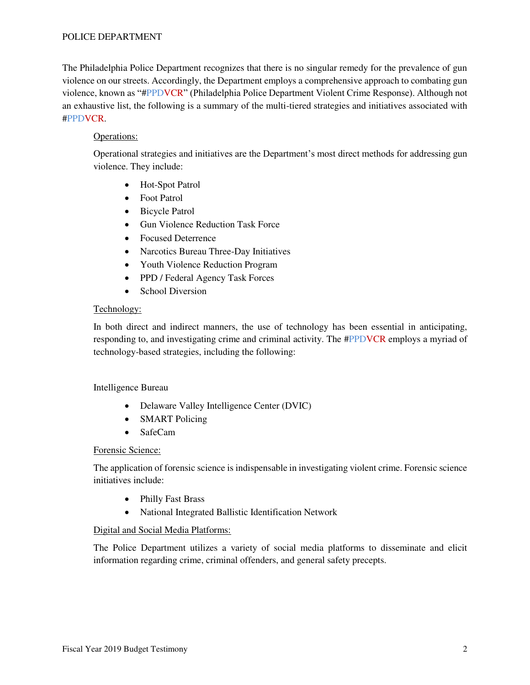The Philadelphia Police Department recognizes that there is no singular remedy for the prevalence of gun violence on our streets. Accordingly, the Department employs a comprehensive approach to combating gun violence, known as "#PPDVCR" (Philadelphia Police Department Violent Crime Response). Although not an exhaustive list, the following is a summary of the multi-tiered strategies and initiatives associated with #PPDVCR.

## Operations:

Operational strategies and initiatives are the Department's most direct methods for addressing gun violence. They include:

- Hot-Spot Patrol
- Foot Patrol
- Bicycle Patrol
- Gun Violence Reduction Task Force
- Focused Deterrence
- Narcotics Bureau Three-Day Initiatives
- Youth Violence Reduction Program
- PPD / Federal Agency Task Forces
- School Diversion

### Technology:

In both direct and indirect manners, the use of technology has been essential in anticipating, responding to, and investigating crime and criminal activity. The #PPDVCR employs a myriad of technology-based strategies, including the following:

### Intelligence Bureau

- Delaware Valley Intelligence Center (DVIC)
- SMART Policing
- SafeCam

### Forensic Science:

The application of forensic science is indispensable in investigating violent crime. Forensic science initiatives include:

- Philly Fast Brass
- National Integrated Ballistic Identification Network

### Digital and Social Media Platforms:

The Police Department utilizes a variety of social media platforms to disseminate and elicit information regarding crime, criminal offenders, and general safety precepts.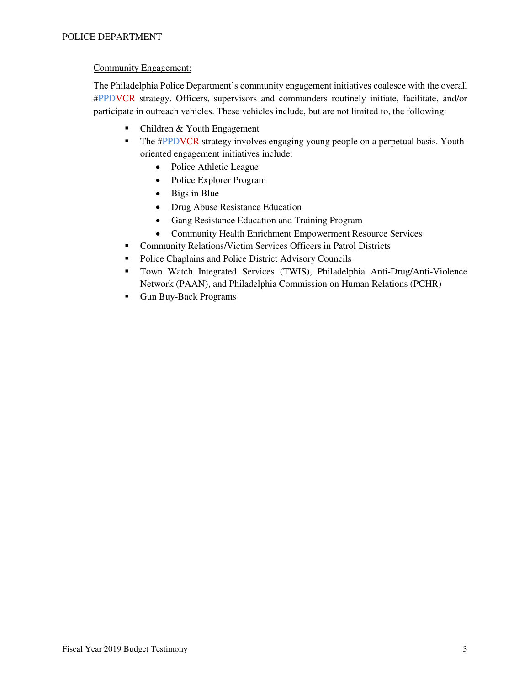# Community Engagement:

The Philadelphia Police Department's community engagement initiatives coalesce with the overall #PPDVCR strategy. Officers, supervisors and commanders routinely initiate, facilitate, and/or participate in outreach vehicles. These vehicles include, but are not limited to, the following:

- Children & Youth Engagement
- **•** The #PPDVCR strategy involves engaging young people on a perpetual basis. Youthoriented engagement initiatives include:
	- Police Athletic League
	- Police Explorer Program
	- Bigs in Blue
	- Drug Abuse Resistance Education
	- Gang Resistance Education and Training Program
	- Community Health Enrichment Empowerment Resource Services
- Community Relations/Victim Services Officers in Patrol Districts
- Police Chaplains and Police District Advisory Councils
- Town Watch Integrated Services (TWIS), Philadelphia Anti-Drug/Anti-Violence Network (PAAN), and Philadelphia Commission on Human Relations (PCHR)
- Gun Buy-Back Programs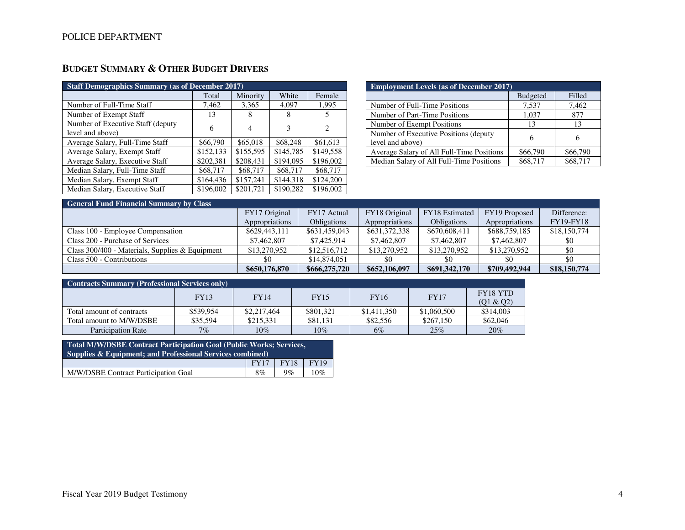# **BUDGET SUMMARY & OTHER BUDGET DRIVERS**

| <b>Staff Demographics Summary (as of December 2017)</b> |           |           |           |                               |  |  |  |  |  |
|---------------------------------------------------------|-----------|-----------|-----------|-------------------------------|--|--|--|--|--|
|                                                         | Total     | Minority  | White     | Female                        |  |  |  |  |  |
| Number of Full-Time Staff                               | 7,462     | 3,365     | 4,097     | 1,995                         |  |  |  |  |  |
| Number of Exempt Staff                                  | 13        | 8         | 8         | 5                             |  |  |  |  |  |
| Number of Executive Staff (deputy)                      | 6         | 4         | 3         | $\mathfrak{D}_{\mathfrak{p}}$ |  |  |  |  |  |
| level and above)                                        |           |           |           |                               |  |  |  |  |  |
| Average Salary, Full-Time Staff                         | \$66,790  | \$65,018  | \$68,248  | \$61,613                      |  |  |  |  |  |
| Average Salary, Exempt Staff                            | \$152,133 | \$155,595 | \$145,785 | \$149,558                     |  |  |  |  |  |
| Average Salary, Executive Staff                         | \$202,381 | \$208,431 | \$194,095 | \$196,002                     |  |  |  |  |  |
| Median Salary, Full-Time Staff                          | \$68,717  | \$68,717  | \$68,717  | \$68,717                      |  |  |  |  |  |
| Median Salary, Exempt Staff                             | \$164,436 | \$157,241 | \$144.318 | \$124,200                     |  |  |  |  |  |
| Median Salary, Executive Staff                          | \$196,002 | \$201,721 | \$190,282 | \$196,002                     |  |  |  |  |  |

| <b>Employment Levels (as of December 2017)</b>             |                 |          |  |  |  |  |  |
|------------------------------------------------------------|-----------------|----------|--|--|--|--|--|
|                                                            | <b>Budgeted</b> | Filled   |  |  |  |  |  |
| Number of Full-Time Positions                              | 7,537           | 7,462    |  |  |  |  |  |
| Number of Part-Time Positions                              | 1,037           | 877      |  |  |  |  |  |
| Number of Exempt Positions                                 | 13              | 13       |  |  |  |  |  |
| Number of Executive Positions (deputy)<br>level and above) | 6               | 6        |  |  |  |  |  |
| Average Salary of All Full-Time Positions                  | \$66,790        | \$66,790 |  |  |  |  |  |
| Median Salary of All Full-Time Positions                   | \$68,717        | \$68,717 |  |  |  |  |  |

| <b>General Fund Financial Summary by Class</b>  |                |                    |                |                       |                |                  |
|-------------------------------------------------|----------------|--------------------|----------------|-----------------------|----------------|------------------|
|                                                 | FY17 Original  | FY17 Actual        | FY18 Original  | <b>FY18</b> Estimated | FY19 Proposed  | Difference:      |
|                                                 | Appropriations | <b>Obligations</b> | Appropriations | Obligations           | Appropriations | <b>FY19-FY18</b> |
| Class 100 - Employee Compensation               | \$629,443,111  | \$631,459,043      | \$631,372,338  | \$670,608,411         | \$688,759,185  | \$18,150,774     |
| Class 200 - Purchase of Services                | \$7,462,807    | \$7,425,914        | \$7,462,807    | \$7,462,807           | \$7,462,807    | \$0              |
| Class 300/400 - Materials, Supplies & Equipment | \$13,270,952   | \$12,516,712       | \$13,270,952   | \$13,270,952          | \$13,270,952   | \$0              |
| Class 500 - Contributions                       | \$0            | \$14,874,051       | \$0            | \$0                   | \$0            | \$0              |
|                                                 | \$650,176,870  | \$666,275,720      | \$652,106,097  | \$691,342,170         | \$709,492,944  | \$18,150,774     |

| <b>Contracts Summary (Professional Services only)</b> |             |             |             |             |             |                              |  |  |  |  |
|-------------------------------------------------------|-------------|-------------|-------------|-------------|-------------|------------------------------|--|--|--|--|
|                                                       | <b>FY13</b> | <b>FY14</b> | <b>FY15</b> | <b>FY16</b> | <b>FY17</b> | <b>FY18 YTD</b><br>(Q1 & Q2) |  |  |  |  |
| Total amount of contracts                             | \$539,954   | \$2,217,464 | \$801.321   | \$1,411,350 | \$1,060,500 | \$314,003                    |  |  |  |  |
| Total amount to M/W/DSBE                              | \$35,594    | \$215.331   | \$81.131    | \$82,556    | \$267,150   | \$62,046                     |  |  |  |  |
| <b>Participation Rate</b>                             | $7\%$       | 10%         | $10\%$      | $6\%$       | 25%         | 20%                          |  |  |  |  |

| Total M/W/DSBE Contract Participation Goal (Public Works; Services,<br>Supplies & Equipment; and Professional Services combined) |             |             |             |  |  |  |  |
|----------------------------------------------------------------------------------------------------------------------------------|-------------|-------------|-------------|--|--|--|--|
|                                                                                                                                  | <b>FY17</b> | <b>FY18</b> | <b>FY19</b> |  |  |  |  |
| M/W/DSBE Contract Participation Goal                                                                                             | 8%          | $9\%$       | 10%         |  |  |  |  |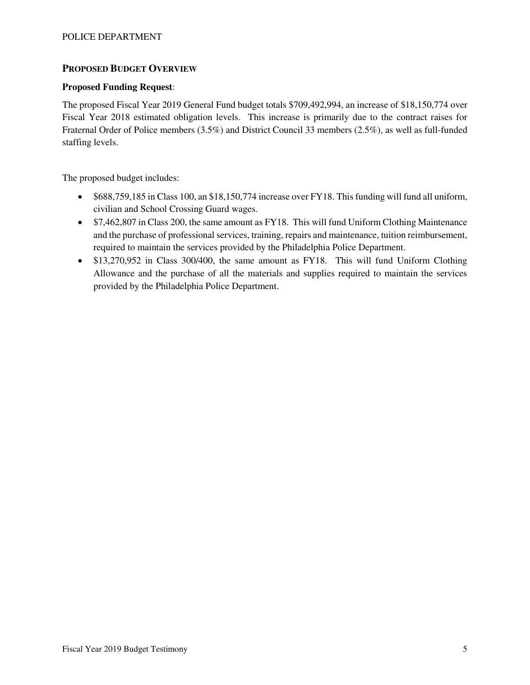# **PROPOSED BUDGET OVERVIEW**

## **Proposed Funding Request**:

The proposed Fiscal Year 2019 General Fund budget totals \$709,492,994, an increase of \$18,150,774 over Fiscal Year 2018 estimated obligation levels. This increase is primarily due to the contract raises for Fraternal Order of Police members (3.5%) and District Council 33 members (2.5%), as well as full-funded staffing levels.

The proposed budget includes:

- \$688,759,185 in Class 100, an \$18,150,774 increase over FY18. This funding will fund all uniform, civilian and School Crossing Guard wages.
- \$7,462,807 in Class 200, the same amount as FY18. This will fund Uniform Clothing Maintenance and the purchase of professional services, training, repairs and maintenance, tuition reimbursement, required to maintain the services provided by the Philadelphia Police Department.
- \$13,270,952 in Class 300/400, the same amount as FY18. This will fund Uniform Clothing Allowance and the purchase of all the materials and supplies required to maintain the services provided by the Philadelphia Police Department.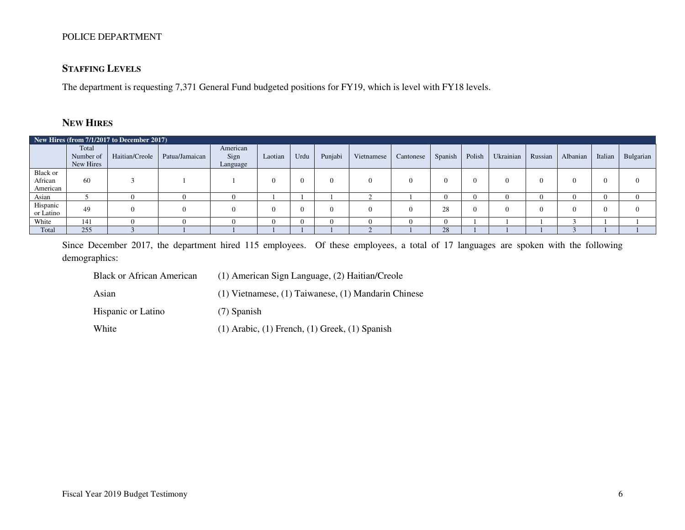# **STAFFING LEVELS**

The department is requesting 7,371 General Fund budgeted positions for FY19, which is level with FY18 levels.

# **NEW HIRES**

|                                 | New Hires (from 7/1/2017 to December 2017) |                |                |                              |            |      |          |            |           |            |              |           |         |          |         |           |
|---------------------------------|--------------------------------------------|----------------|----------------|------------------------------|------------|------|----------|------------|-----------|------------|--------------|-----------|---------|----------|---------|-----------|
|                                 | Total<br>Number of<br>New Hires            | Haitian/Creole | Patua/Jamaican | American<br>Sign<br>Language | Laotian    | Urdu | Punjabi  | Vietnamese | Cantonese | Spanish    | Polish       | Ukrainian | Russian | Albanian | Italian | Bulgarian |
| Black or<br>African<br>American | 60                                         |                |                |                              | 0          |      | $\Omega$ | $\Omega$   |           | $\Omega$   | $\Omega$     |           | 0       |          |         | -0        |
| Asian                           |                                            |                |                |                              |            |      |          |            |           | $^{\circ}$ | $\mathbf{U}$ |           |         |          |         |           |
| Hispanic<br>or Latino           | 49                                         |                | $\Omega$       |                              | $^{\circ}$ |      | $\Omega$ | $\Omega$   |           | 28         | $\Omega$     |           | ∩       |          |         | $\Omega$  |
| White                           | 141                                        |                |                |                              |            |      | $\Omega$ |            |           | $\Omega$   |              |           |         |          |         |           |
| Total                           | 255                                        |                |                |                              |            |      |          |            |           | 28         |              |           |         |          |         |           |

Since December 2017, the department hired 115 employees. Of these employees, a total of 17 languages are spoken with the following demographics:

| <b>Black or African American</b> | (1) American Sign Language, (2) Haitian/Creole            |
|----------------------------------|-----------------------------------------------------------|
| Asian                            | $(1)$ Vietnamese, $(1)$ Taiwanese, $(1)$ Mandarin Chinese |
| <b>Hispanic or Latino</b>        | $(7)$ Spanish                                             |
| White                            | $(1)$ Arabic, $(1)$ French, $(1)$ Greek, $(1)$ Spanish    |

Fiscal Year 2019 Budget Testimony 6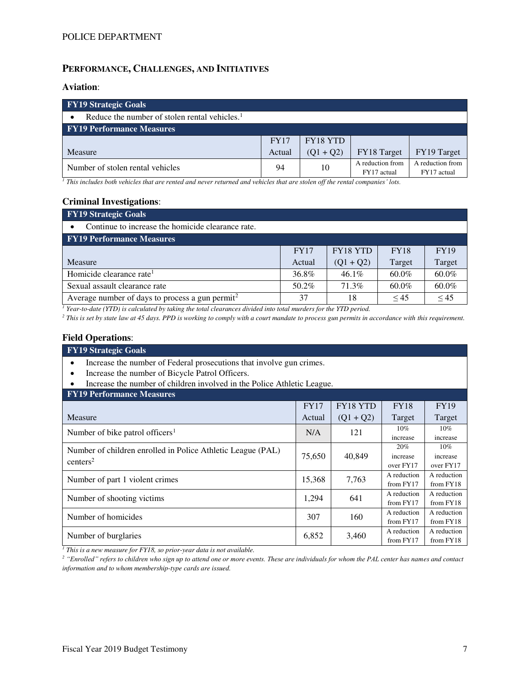# **PERFORMANCE, CHALLENGES, AND INITIATIVES**

### **Aviation**:

| FY19 Strategic Goals                                      |             |                 |                                 |                                 |  |  |  |  |  |
|-----------------------------------------------------------|-------------|-----------------|---------------------------------|---------------------------------|--|--|--|--|--|
| Reduce the number of stolen rental vehicles. <sup>1</sup> |             |                 |                                 |                                 |  |  |  |  |  |
| <b>FY19 Performance Measures</b>                          |             |                 |                                 |                                 |  |  |  |  |  |
|                                                           | <b>FY17</b> | <b>FY18 YTD</b> |                                 |                                 |  |  |  |  |  |
| Measure                                                   | Actual      | $(Q1 + Q2)$     | FY18 Target                     | FY19 Target                     |  |  |  |  |  |
| Number of stolen rental vehicles                          | 94          | 10              | A reduction from<br>FY17 actual | A reduction from<br>FY17 actual |  |  |  |  |  |

*<sup>1</sup> This includes both vehicles that are rented and never returned and vehicles that are stolen off the rental companies' lots.*

#### **Criminal Investigations**:

| <b>FY19 Strategic Goals</b>                                 |             |                 |             |             |  |  |  |  |
|-------------------------------------------------------------|-------------|-----------------|-------------|-------------|--|--|--|--|
| Continue to increase the homicide clearance rate.           |             |                 |             |             |  |  |  |  |
| <b>FY19 Performance Measures</b>                            |             |                 |             |             |  |  |  |  |
|                                                             | <b>FY17</b> | <b>FY18 YTD</b> | <b>FY18</b> | <b>FY19</b> |  |  |  |  |
| Measure                                                     | Actual      | $(Q1 + Q2)$     | Target      | Target      |  |  |  |  |
| Homicide clearance rate <sup>1</sup>                        | 36.8%       | $46.1\%$        | $60.0\%$    | $60.0\%$    |  |  |  |  |
| Sexual assault clearance rate                               | 50.2%       | 71.3%           | $60.0\%$    | 60.0%       |  |  |  |  |
| Average number of days to process a gun permit <sup>2</sup> | 37          | 18              | < 45        | $\leq 45$   |  |  |  |  |

<sup>*1</sup> Year-to-date (YTD) is calculated by taking the total clearances divided into total murders for the YTD period.</sup>* 

<sup>2</sup> This is set by state law at 45 days. PPD is working to comply with a court mandate to process gun permits in accordance with this requirement.

#### **Field Operations**:

#### **FY19 Strategic Goals**

- Increase the number of Federal prosecutions that involve gun crimes.
- Increase the number of Bicycle Patrol Officers.
- Increase the number of children involved in the Police Athletic League.

| <b>FY19 Performance Measures</b>                                                    |             |                 |                              |                                 |
|-------------------------------------------------------------------------------------|-------------|-----------------|------------------------------|---------------------------------|
|                                                                                     | <b>FY17</b> | <b>FY18 YTD</b> | <b>FY18</b>                  | <b>FY19</b>                     |
| Measure                                                                             | Actual      | $(Q1 + Q2)$     | Target                       | Target                          |
| Number of bike patrol officers <sup>1</sup>                                         | N/A         | 121             | 10%<br>increase              | 10%<br>increase                 |
| Number of children enrolled in Police Athletic League (PAL)<br>centers <sup>2</sup> | 75,650      | 40,849          | 20%<br>increase<br>over FY17 | $10\%$<br>increase<br>over FY17 |
| Number of part 1 violent crimes                                                     | 15,368      | 7,763           | A reduction<br>from $FY17$   | A reduction<br>from FY18        |
| Number of shooting victims                                                          | 1,294       | 641             | A reduction<br>from FY17     | A reduction<br>from FY18        |
| Number of homicides                                                                 | 307         | 160             | A reduction<br>from $FY17$   | A reduction<br>from FY18        |
| Number of burglaries                                                                | 6,852       | 3,460           | A reduction<br>from $FY17$   | A reduction<br>from FY18        |

*1 This is a new measure for FY18, so prior-year data is not available.* 

*<sup>2</sup> "Enrolled" refers to children who sign up to attend one or more events. These are individuals for whom the PAL center has names and contact information and to whom membership-type cards are issued.*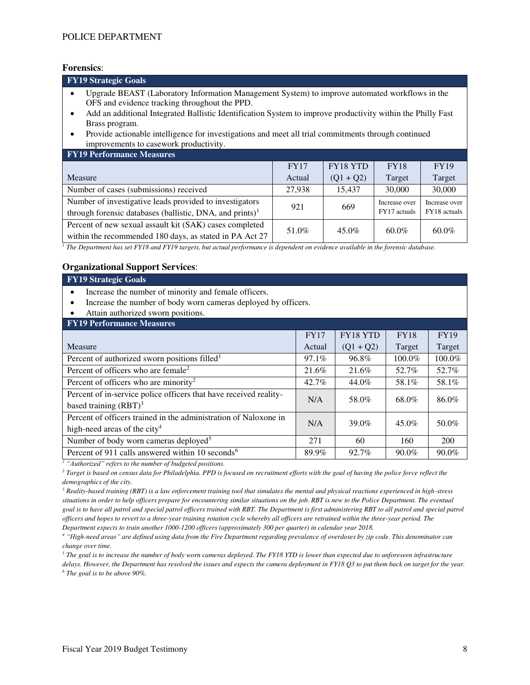**Forensics**:

| <b>FY19 Strategic Goals</b>                                                                                                                                                                                                                                                      |             |                 |             |             |  |  |  |  |
|----------------------------------------------------------------------------------------------------------------------------------------------------------------------------------------------------------------------------------------------------------------------------------|-------------|-----------------|-------------|-------------|--|--|--|--|
| Upgrade BEAST (Laboratory Information Management System) to improve automated workflows in the<br>OFS and evidence tracking throughout the PPD.<br>Add an additional Integrated Ballistic Identification System to improve productivity within the Philly Fast<br>Brass program. |             |                 |             |             |  |  |  |  |
| Provide actionable intelligence for investigations and meet all trial commitments through continued<br>improvements to casework productivity.                                                                                                                                    |             |                 |             |             |  |  |  |  |
| <b>FY19 Performance Measures</b>                                                                                                                                                                                                                                                 |             |                 |             |             |  |  |  |  |
|                                                                                                                                                                                                                                                                                  | <b>FY17</b> | <b>FY18 YTD</b> | <b>FY18</b> | <b>FY19</b> |  |  |  |  |
| Measure                                                                                                                                                                                                                                                                          | Actual      | $(Q1 + Q2)$     | Target      | Target      |  |  |  |  |

| Number of cases (submissions) received                                                                                 | 27.938 | 15.437   | 30,000                        | 30,000                        |
|------------------------------------------------------------------------------------------------------------------------|--------|----------|-------------------------------|-------------------------------|
| Number of investigative leads provided to investigators<br>through forensic databases (ballistic, DNA, and prints) $1$ | 921    | 669      | Increase over<br>FY17 actuals | Increase over<br>FY18 actuals |
| Percent of new sexual assault kit (SAK) cases completed<br>within the recommended 180 days, as stated in PA Act 27     | 51.0%  | $45.0\%$ | $60.0\%$                      | 60.0%                         |

<sup>1</sup> The Department has set FY18 and FY19 targets, but actual performance is dependent on evidence available in the forensic database.

### **Organizational Support Services**:

| <b>FY19 Strategic Goals</b>                                                                         |                       |             |             |             |  |  |  |  |
|-----------------------------------------------------------------------------------------------------|-----------------------|-------------|-------------|-------------|--|--|--|--|
| Increase the number of minority and female officers.                                                |                       |             |             |             |  |  |  |  |
| Increase the number of body worn cameras deployed by officers.                                      |                       |             |             |             |  |  |  |  |
| Attain authorized sworn positions.                                                                  |                       |             |             |             |  |  |  |  |
| <b>FY19 Performance Measures</b>                                                                    |                       |             |             |             |  |  |  |  |
|                                                                                                     | <b>FY17</b>           | FY18 YTD    | <b>FY18</b> | <b>FY19</b> |  |  |  |  |
| Measure                                                                                             | Actual                | $(Q1 + Q2)$ | Target      | Target      |  |  |  |  |
| Percent of authorized sworn positions filled <sup>1</sup>                                           | 97.1%                 | 96.8%       | 100.0%      | 100.0%      |  |  |  |  |
| Percent of officers who are female <sup>2</sup>                                                     | 21.6%                 | 21.6%       | 52.7%       | 52.7%       |  |  |  |  |
| Percent of officers who are minority <sup>2</sup>                                                   | 58.1%                 | 58.1%       |             |             |  |  |  |  |
| Percent of in-service police officers that have received reality-                                   | N/A                   | 58.0%       | 68.0%       | 86.0%       |  |  |  |  |
| based training $(RBT)^3$                                                                            |                       |             |             |             |  |  |  |  |
| Percent of officers trained in the administration of Naloxone in                                    |                       |             |             | 50.0%       |  |  |  |  |
| high-need areas of the city <sup>4</sup>                                                            | N/A<br>39.0%<br>45.0% |             |             |             |  |  |  |  |
| Number of body worn cameras deployed <sup>5</sup>                                                   | 271                   | 60          | 160         | 200         |  |  |  |  |
| Percent of 911 calls answered within 10 seconds <sup>6</sup><br>89.9%<br>92.7%<br>90.0%<br>$90.0\%$ |                       |             |             |             |  |  |  |  |

*<sup>1</sup> "Authorized" refers to the number of budgeted positions.*

*2 Target is based on census data for Philadelphia. PPD is focused on recruitment efforts with the goal of having the police force reflect the demographics of the city.* 

*3 Reality-based training (RBT) is a law enforcement training tool that simulates the mental and physical reactions experienced in high-stress situations in order to help officers prepare for encountering similar situations on the job. RBT is new to the Police Department. The eventual*  goal is to have all patrol and special patrol officers trained with RBT. The Department is first administering RBT to all patrol and special patrol *officers and hopes to revert to a three-year training rotation cycle whereby all officers are retrained within the three-year period. The Department expects to train another 1000-1200 officers (approximately 300 per quarter) in calendar year 2018.* 

*<sup>4</sup> "High-need areas" are defined using data from the Fire Department regarding prevalence of overdoses by zip code. This denominator can change over time.* 

 $^5$  The goal is to increase the number of body worn cameras deployed. The FY18 YTD is lower than expected due to unforeseen infrastructure *delays. However, the Department has resolved the issues and expects the camera deployment in FY18 Q3 to put them back on target for the year. 6 The goal is to be above 90%.*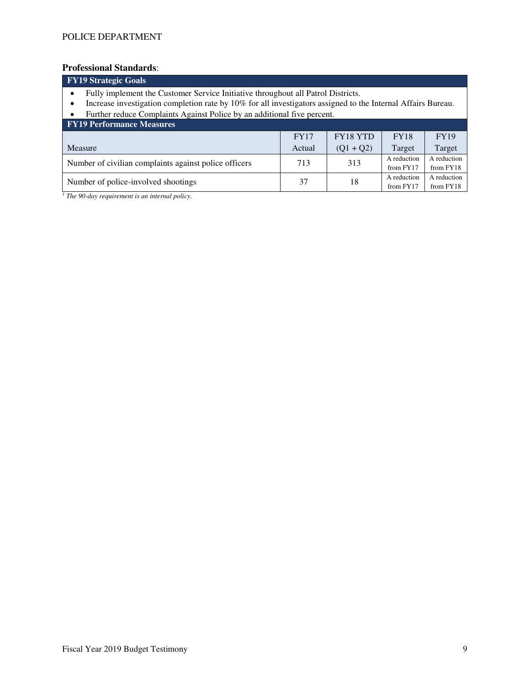# **Professional Standards**:

| <b>FY19</b> Strategic Goals                                                                                                                                                                                                                                                 |             |             |             |             |  |  |  |  |  |
|-----------------------------------------------------------------------------------------------------------------------------------------------------------------------------------------------------------------------------------------------------------------------------|-------------|-------------|-------------|-------------|--|--|--|--|--|
| Fully implement the Customer Service Initiative throughout all Patrol Districts.<br>Increase investigation completion rate by 10% for all investigators assigned to the Internal Affairs Bureau.<br>Further reduce Complaints Against Police by an additional five percent. |             |             |             |             |  |  |  |  |  |
| <b>FY19 Performance Measures</b>                                                                                                                                                                                                                                            |             |             |             |             |  |  |  |  |  |
|                                                                                                                                                                                                                                                                             | <b>FY17</b> | FY18 YTD    | <b>FY18</b> | <b>FY19</b> |  |  |  |  |  |
| Measure                                                                                                                                                                                                                                                                     | Actual      | $(Q1 + Q2)$ | Target      | Target      |  |  |  |  |  |
| Number of civilian complaints against police officers                                                                                                                                                                                                                       | 713         | 313         | A reduction | A reduction |  |  |  |  |  |
|                                                                                                                                                                                                                                                                             |             |             | from FY17   | from FY18   |  |  |  |  |  |
| Number of police-involved shootings                                                                                                                                                                                                                                         | 37          | 18          | A reduction | A reduction |  |  |  |  |  |
|                                                                                                                                                                                                                                                                             |             |             | from FY17   | from FY18   |  |  |  |  |  |

*1 The 90-day requirement is an internal policy.*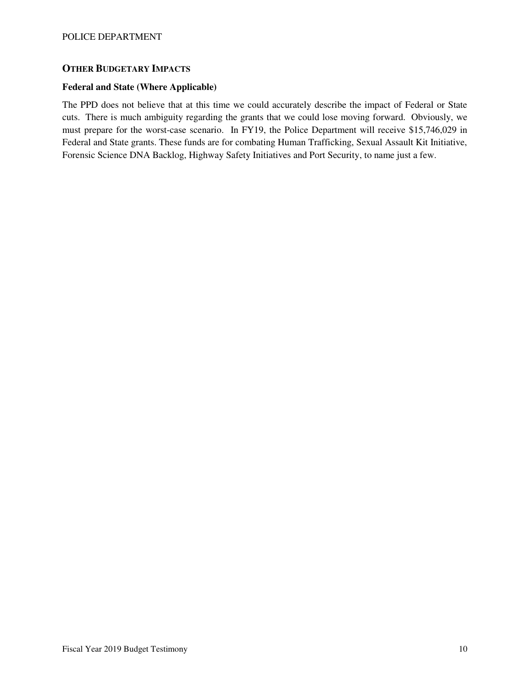# **OTHER BUDGETARY IMPACTS**

#### **Federal and State (Where Applicable)**

The PPD does not believe that at this time we could accurately describe the impact of Federal or State cuts. There is much ambiguity regarding the grants that we could lose moving forward. Obviously, we must prepare for the worst-case scenario. In FY19, the Police Department will receive \$15,746,029 in Federal and State grants. These funds are for combating Human Trafficking, Sexual Assault Kit Initiative, Forensic Science DNA Backlog, Highway Safety Initiatives and Port Security, to name just a few.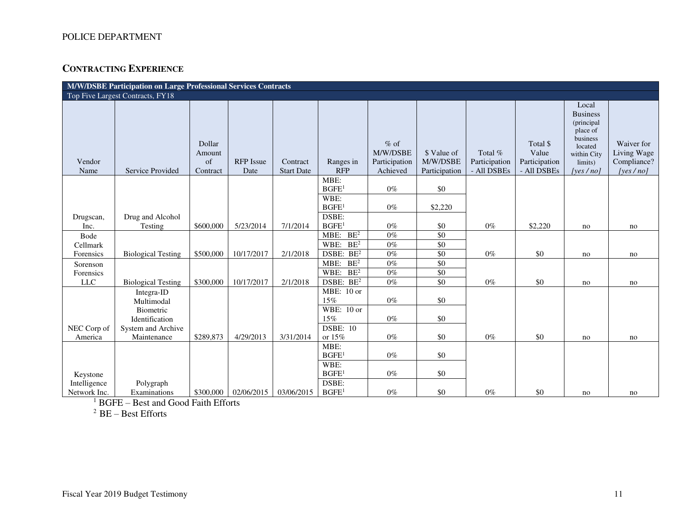# **CONTRACTING EXPERIENCE**

| M/W/DSBE Participation on Large Professional Services Contracts |                                |                                    |                          |                               |                           |                                                 |                                          |                                         |                                                   |                                                                                                                     |                                                          |
|-----------------------------------------------------------------|--------------------------------|------------------------------------|--------------------------|-------------------------------|---------------------------|-------------------------------------------------|------------------------------------------|-----------------------------------------|---------------------------------------------------|---------------------------------------------------------------------------------------------------------------------|----------------------------------------------------------|
| Top Five Largest Contracts, FY18                                |                                |                                    |                          |                               |                           |                                                 |                                          |                                         |                                                   |                                                                                                                     |                                                          |
| Vendor<br>Name                                                  | Service Provided               | Dollar<br>Amount<br>of<br>Contract | <b>RFP</b> Issue<br>Date | Contract<br><b>Start Date</b> | Ranges in<br><b>RFP</b>   | $%$ of<br>M/W/DSBE<br>Participation<br>Achieved | \$ Value of<br>M/W/DSBE<br>Participation | Total %<br>Participation<br>- All DSBEs | Total \$<br>Value<br>Participation<br>- All DSBEs | Local<br><b>Business</b><br>(principal<br>place of<br>business<br>located<br>within City<br>limits)<br>[yes $/no$ ] | Waiver for<br>Living Wage<br>Compliance?<br>[yes $/no$ ] |
|                                                                 |                                |                                    |                          |                               | MBE:                      |                                                 |                                          |                                         |                                                   |                                                                                                                     |                                                          |
|                                                                 |                                |                                    |                          |                               | BGFE <sup>1</sup>         | $0\%$                                           | \$0                                      |                                         |                                                   |                                                                                                                     |                                                          |
|                                                                 |                                |                                    |                          |                               | WBE:<br>BGFE <sup>1</sup> | $0\%$                                           | \$2,220                                  |                                         |                                                   |                                                                                                                     |                                                          |
| Drugscan,                                                       | Drug and Alcohol               |                                    |                          |                               | DSBE:                     |                                                 |                                          |                                         |                                                   |                                                                                                                     |                                                          |
| Inc.                                                            | Testing                        | \$600,000                          | 5/23/2014                | 7/1/2014                      | BGFE <sup>1</sup>         | $0\%$                                           | \$0                                      | $0\%$                                   | \$2,220                                           | no                                                                                                                  | no                                                       |
| Bode                                                            |                                |                                    |                          |                               | MBE: $BE^2$               | $0\%$                                           | $\overline{50}$                          |                                         |                                                   |                                                                                                                     |                                                          |
| Cellmark                                                        |                                |                                    |                          |                               | WBE: $BE^2$               | $0\%$                                           | $\overline{50}$                          |                                         |                                                   |                                                                                                                     |                                                          |
| Forensics                                                       | <b>Biological Testing</b>      | \$500,000                          | 10/17/2017               | 2/1/2018                      | DSBE: BE <sup>2</sup>     | $0\%$                                           | $\overline{50}$                          | $0\%$                                   | \$0                                               | no                                                                                                                  | no                                                       |
| Sorenson                                                        |                                |                                    |                          |                               | BE <sup>2</sup><br>MBE:   | $0\%$                                           | $\overline{50}$                          |                                         |                                                   |                                                                                                                     |                                                          |
| Forensics                                                       |                                |                                    |                          |                               | WBE:<br>BE <sup>2</sup>   | $0\%$                                           | $\overline{50}$                          |                                         |                                                   |                                                                                                                     |                                                          |
| LLC                                                             | <b>Biological Testing</b>      | \$300,000                          | 10/17/2017               | 2/1/2018                      | DSBE: BE <sup>2</sup>     | $0\%$                                           | \$0                                      | $0\%$                                   | \$0                                               | no                                                                                                                  | no                                                       |
|                                                                 | Integra-ID                     |                                    |                          |                               | MBE: 10 or<br>15%         | $0\%$                                           | \$0                                      |                                         |                                                   |                                                                                                                     |                                                          |
|                                                                 | Multimodal<br><b>Biometric</b> |                                    |                          |                               | WBE: $10$ or              |                                                 |                                          |                                         |                                                   |                                                                                                                     |                                                          |
|                                                                 | Identification                 |                                    |                          |                               | 15%                       | $0\%$                                           | \$0                                      |                                         |                                                   |                                                                                                                     |                                                          |
| NEC Corp of                                                     | System and Archive             |                                    |                          |                               | <b>DSBE: 10</b>           |                                                 |                                          |                                         |                                                   |                                                                                                                     |                                                          |
| America                                                         | Maintenance                    | \$289,873                          | 4/29/2013                | 3/31/2014                     | or 15%                    | $0\%$                                           | \$0                                      | $0\%$                                   | \$0                                               | no                                                                                                                  | no                                                       |
|                                                                 |                                |                                    |                          |                               | MBE:                      |                                                 |                                          |                                         |                                                   |                                                                                                                     |                                                          |
|                                                                 |                                |                                    |                          |                               | BGFE <sup>1</sup>         | $0\%$                                           | \$0                                      |                                         |                                                   |                                                                                                                     |                                                          |
|                                                                 |                                |                                    |                          |                               | WBE:                      |                                                 |                                          |                                         |                                                   |                                                                                                                     |                                                          |
| Keystone                                                        |                                |                                    |                          |                               | BGFE <sup>1</sup>         | $0\%$                                           | \$0                                      |                                         |                                                   |                                                                                                                     |                                                          |
| Intelligence                                                    | Polygraph                      |                                    |                          |                               | DSBE:                     |                                                 |                                          |                                         |                                                   |                                                                                                                     |                                                          |
| Network Inc.                                                    | Examinations                   | \$300,000                          | 02/06/2015               | 03/06/2015                    | BGFE <sup>1</sup>         | $0\%$                                           | \$0                                      | $0\%$                                   | \$0                                               | no                                                                                                                  | no                                                       |

1 BGFE – Best and Good Faith Efforts

 $2$  BE – Best Efforts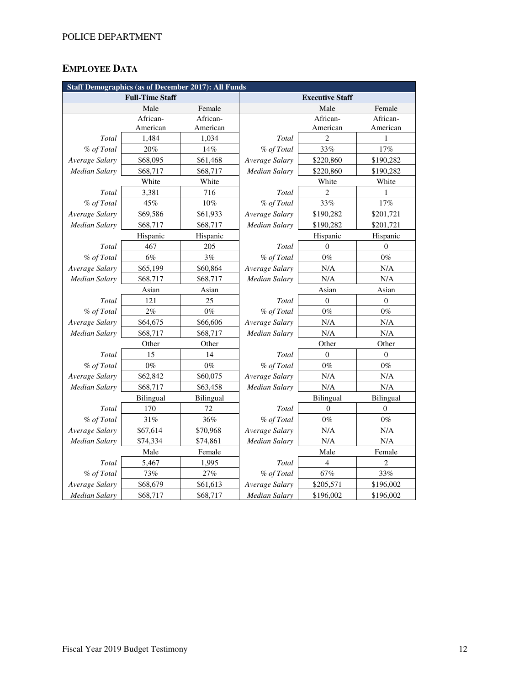# **EMPLOYEE DATA**

| <b>Staff Demographics (as of December 2017): All Funds</b> |                        |           |                        |                  |                  |  |  |  |
|------------------------------------------------------------|------------------------|-----------|------------------------|------------------|------------------|--|--|--|
|                                                            | <b>Full-Time Staff</b> |           | <b>Executive Staff</b> |                  |                  |  |  |  |
|                                                            | Male                   | Female    |                        | Male             | Female           |  |  |  |
|                                                            | African-               | African-  |                        | African-         | African-         |  |  |  |
|                                                            | American               | American  |                        | American         | American         |  |  |  |
| Total                                                      | 1,484                  | 1,034     | Total                  | 2                | 1                |  |  |  |
| % of Total                                                 | 20%                    | 14%       | % of Total             | 33%              | 17%              |  |  |  |
| Average Salary                                             | \$68,095               | \$61,468  | Average Salary         | \$220,860        | \$190,282        |  |  |  |
| <b>Median Salary</b>                                       | \$68,717               | \$68,717  | <b>Median Salary</b>   | \$220,860        | \$190,282        |  |  |  |
|                                                            | White                  | White     |                        | White            | White            |  |  |  |
| Total                                                      | 3,381                  | 716       | Total                  | $\overline{2}$   | 1                |  |  |  |
| % of Total                                                 | 45%                    | 10%       | % of Total             | 33%              | 17%              |  |  |  |
| Average Salary                                             | \$69,586               | \$61,933  | Average Salary         | \$190,282        | \$201,721        |  |  |  |
| <b>Median Salary</b>                                       | \$68,717               | \$68,717  | Median Salary          | \$190,282        | \$201,721        |  |  |  |
|                                                            | Hispanic               | Hispanic  |                        | Hispanic         | Hispanic         |  |  |  |
| Total                                                      | 467                    | 205       | Total                  | $\mathbf{0}$     | $\overline{0}$   |  |  |  |
| % of Total                                                 | 6%                     | 3%        | % of Total             | $0\%$            | $0\%$            |  |  |  |
| Average Salary                                             | \$65,199               | \$60,864  | Average Salary         | N/A              | N/A              |  |  |  |
| <b>Median Salary</b>                                       | \$68,717               | \$68,717  | <b>Median Salary</b>   | N/A              | N/A              |  |  |  |
|                                                            | Asian                  | Asian     | Asian                  |                  | Asian            |  |  |  |
| Total                                                      | 121                    | 25        | Total                  | $\boldsymbol{0}$ | $\boldsymbol{0}$ |  |  |  |
| % of Total                                                 | $2\%$                  | $0\%$     | % of Total             | $0\%$            | $0\%$            |  |  |  |
| Average Salary                                             | \$64,675               | \$66,606  | Average Salary         | N/A              | N/A              |  |  |  |
| Median Salary                                              | \$68,717               | \$68,717  | Median Salary          | N/A              | N/A              |  |  |  |
|                                                            | Other                  | Other     |                        | Other            |                  |  |  |  |
| Total                                                      | 15                     | 14        | Total                  | $\Omega$         | $\overline{0}$   |  |  |  |
| % of Total                                                 | $0\%$                  | $0\%$     | % of Total             | $0\%$            | $0\%$            |  |  |  |
| Average Salary                                             | \$62,842               | \$60,075  | Average Salary         | N/A              | N/A              |  |  |  |
| <b>Median Salary</b>                                       | \$68,717               | \$63,458  | <b>Median Salary</b>   | N/A              | $\rm N/A$        |  |  |  |
|                                                            | Bilingual              | Bilingual | Bilingual              |                  | Bilingual        |  |  |  |
| Total                                                      | 170                    | 72        | Total                  | $\overline{0}$   | $\overline{0}$   |  |  |  |
| % of Total                                                 | 31%                    | 36%       | % of Total             | $0\%$            | $0\%$            |  |  |  |
| Average Salary                                             | \$67,614               | \$70,968  | Average Salary         | N/A              | $\rm N/A$        |  |  |  |
| Median Salary                                              | \$74,334               | \$74,861  | Median Salary          | N/A              | N/A              |  |  |  |
|                                                            | Male                   | Female    | Male                   |                  | Female           |  |  |  |
| Total                                                      | 5,467                  | 1,995     | Total                  | $\overline{4}$   | $\overline{c}$   |  |  |  |
| % of Total                                                 | 73%                    | 27%       | % of Total             | 67%              | 33%              |  |  |  |
| Average Salary                                             | \$68,679               | \$61,613  | Average Salary         | \$205,571        | \$196,002        |  |  |  |
| <b>Median Salary</b>                                       | \$68,717               | \$68,717  | <b>Median Salary</b>   | \$196,002        | \$196,002        |  |  |  |